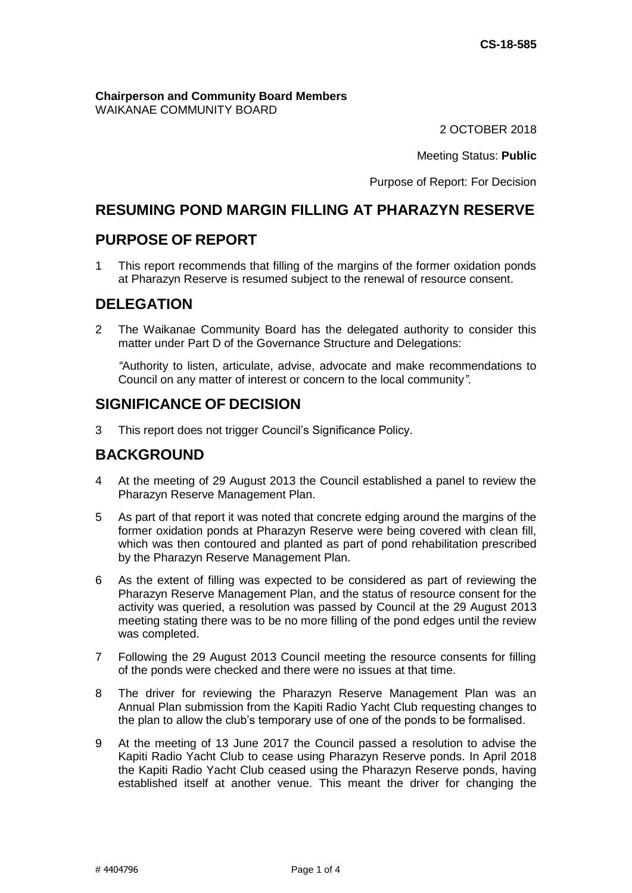**Chairperson and Community Board Members** WAIKANAE COMMUNITY BOARD

2 OCTOBER 2018

Meeting Status: **Public**

Purpose of Report: For Decision

## **RESUMING POND MARGIN FILLING AT PHARAZYN RESERVE**

## **PURPOSE OF REPORT**

1 This report recommends that filling of the margins of the former oxidation ponds at Pharazyn Reserve is resumed subject to the renewal of resource consent.

## **DELEGATION**

2 The Waikanae Community Board has the delegated authority to consider this matter under Part D of the Governance Structure and Delegations:

*"*Authority to listen, articulate, advise, advocate and make recommendations to Council on any matter of interest or concern to the local community*"*.

## **SIGNIFICANCE OF DECISION**

3 This report does not trigger Council's Significance Policy.

## **BACKGROUND**

- 4 At the meeting of 29 August 2013 the Council established a panel to review the Pharazyn Reserve Management Plan.
- 5 As part of that report it was noted that concrete edging around the margins of the former oxidation ponds at Pharazyn Reserve were being covered with clean fill, which was then contoured and planted as part of pond rehabilitation prescribed by the Pharazyn Reserve Management Plan.
- 6 As the extent of filling was expected to be considered as part of reviewing the Pharazyn Reserve Management Plan, and the status of resource consent for the activity was queried, a resolution was passed by Council at the 29 August 2013 meeting stating there was to be no more filling of the pond edges until the review was completed.
- 7 Following the 29 August 2013 Council meeting the resource consents for filling of the ponds were checked and there were no issues at that time.
- 8 The driver for reviewing the Pharazyn Reserve Management Plan was an Annual Plan submission from the Kapiti Radio Yacht Club requesting changes to the plan to allow the club's temporary use of one of the ponds to be formalised.
- 9 At the meeting of 13 June 2017 the Council passed a resolution to advise the Kapiti Radio Yacht Club to cease using Pharazyn Reserve ponds. In April 2018 the Kapiti Radio Yacht Club ceased using the Pharazyn Reserve ponds, having established itself at another venue. This meant the driver for changing the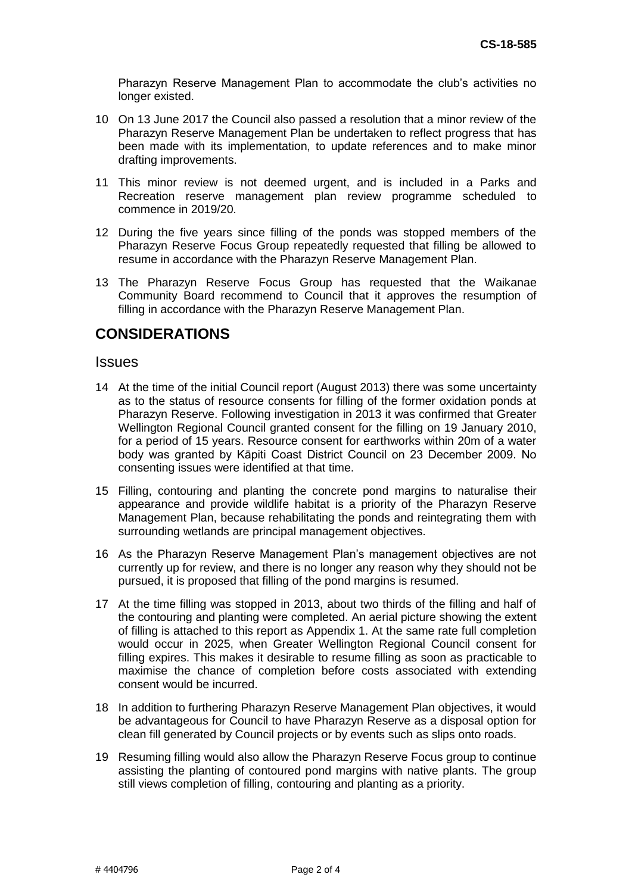Pharazyn Reserve Management Plan to accommodate the club's activities no longer existed.

- 10 On 13 June 2017 the Council also passed a resolution that a minor review of the Pharazyn Reserve Management Plan be undertaken to reflect progress that has been made with its implementation, to update references and to make minor drafting improvements.
- 11 This minor review is not deemed urgent, and is included in a Parks and Recreation reserve management plan review programme scheduled to commence in 2019/20.
- 12 During the five years since filling of the ponds was stopped members of the Pharazyn Reserve Focus Group repeatedly requested that filling be allowed to resume in accordance with the Pharazyn Reserve Management Plan.
- 13 The Pharazyn Reserve Focus Group has requested that the Waikanae Community Board recommend to Council that it approves the resumption of filling in accordance with the Pharazyn Reserve Management Plan.

## **CONSIDERATIONS**

#### **Issues**

- 14 At the time of the initial Council report (August 2013) there was some uncertainty as to the status of resource consents for filling of the former oxidation ponds at Pharazyn Reserve. Following investigation in 2013 it was confirmed that Greater Wellington Regional Council granted consent for the filling on 19 January 2010, for a period of 15 years. Resource consent for earthworks within 20m of a water body was granted by Kāpiti Coast District Council on 23 December 2009. No consenting issues were identified at that time.
- 15 Filling, contouring and planting the concrete pond margins to naturalise their appearance and provide wildlife habitat is a priority of the Pharazyn Reserve Management Plan, because rehabilitating the ponds and reintegrating them with surrounding wetlands are principal management objectives.
- 16 As the Pharazyn Reserve Management Plan's management objectives are not currently up for review, and there is no longer any reason why they should not be pursued, it is proposed that filling of the pond margins is resumed.
- 17 At the time filling was stopped in 2013, about two thirds of the filling and half of the contouring and planting were completed. An aerial picture showing the extent of filling is attached to this report as Appendix 1. At the same rate full completion would occur in 2025, when Greater Wellington Regional Council consent for filling expires. This makes it desirable to resume filling as soon as practicable to maximise the chance of completion before costs associated with extending consent would be incurred.
- 18 In addition to furthering Pharazyn Reserve Management Plan objectives, it would be advantageous for Council to have Pharazyn Reserve as a disposal option for clean fill generated by Council projects or by events such as slips onto roads.
- 19 Resuming filling would also allow the Pharazyn Reserve Focus group to continue assisting the planting of contoured pond margins with native plants. The group still views completion of filling, contouring and planting as a priority.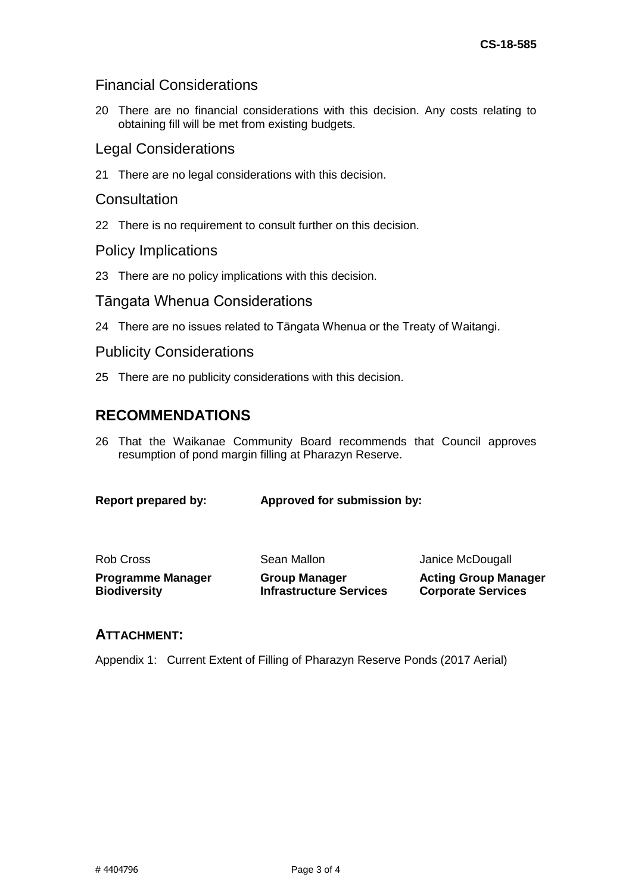### Financial Considerations

20 There are no financial considerations with this decision. Any costs relating to obtaining fill will be met from existing budgets.

#### Legal Considerations

21 There are no legal considerations with this decision.

### **Consultation**

22 There is no requirement to consult further on this decision.

#### Policy Implications

23 There are no policy implications with this decision.

#### Tāngata Whenua Considerations

24 There are no issues related to Tāngata Whenua or the Treaty of Waitangi.

#### Publicity Considerations

25 There are no publicity considerations with this decision.

## **RECOMMENDATIONS**

26 That the Waikanae Community Board recommends that Council approves resumption of pond margin filling at Pharazyn Reserve.

**Report prepared by: Approved for submission by:**

| Rob Cross<br><b>Programme Manager</b> | Sean Mallon<br><b>Group Manager</b> | Janice McDougall<br><b>Acting Group Manager</b> |
|---------------------------------------|-------------------------------------|-------------------------------------------------|
|                                       |                                     |                                                 |

#### **ATTACHMENT:**

Appendix 1: Current Extent of Filling of Pharazyn Reserve Ponds (2017 Aerial)